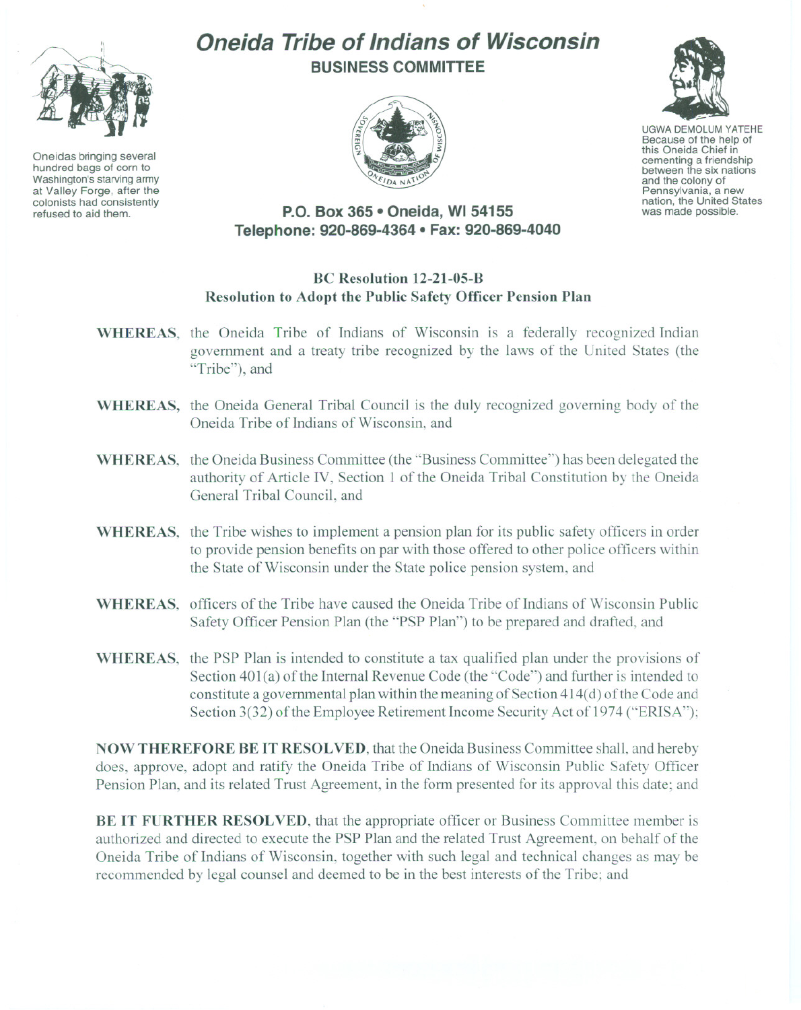

Oneidas bringing several hundred bags of corn to Washington's starving army at Valley Forge, after the colonists had consistently refused to aid them.

# **Oneida Tribe of Indians of Wisconsin BUSINESS COMMITTEE**





UGWA DEMOLUM YATEHE Because of the help of this Oneida Chief in cementing <sup>a</sup> friendship between the six nations and the colony of<br>Pennsylvania, a new nation, the United States was made possible.

## **P.O. Box 365 • Oneida, WI 54155 Telephone: 920-869-4364 • Fax: 920-869-4040**

### **BC Resolution 12-21-05-B Resolution to Adopt the Public Safety Officer Pension Plan**

- **WHEREAS,** the Oneida Tribe of Indians of Wisconsin is a federally recognized Indian government and a treaty tribe recognized by the laws of the United States (the "Tribe"), and
- **WHEREAS,** the Oneida General Tribal Council is the duly recognized governing body of the Oneida Tribe of Indians of Wisconsin, and
- **WHEREAS,** the Oneida Business Committee (the "Business Committee") has been delegated the authority of Article IV, Section I of the Oneida Tribal Constitution by the Oneida General Tribal Council, and
- **WHEREAS,** the Tribe wishes to implement a pension plan for its public safety officers in order to provide pension benefits on par with those offered to other police officers within the State of Wisconsin under the State police pension system, and
- **WHEREAS,** officers of the Tribe have caused the Oneida Tribe of Indians of Wisconsin Public Safety Officer Pension Plan (the "PSP Plan") to be prepared and drafted, and
- **WHEREAS,** the PSP Plan is intended to constitute a tax qualified plan under the provisions of Section 401(a) of the Internal Revenue Code (the "Code") and further is intended to constitute a governmental plan within the meaning of Section  $414(d)$  of the Code and Section 3(32) of the Employee Retirement Income Security Act of 1974 ("ERISA");

**NOW THEREFORE BE IT RESOLVED,** that the Oneida Business Committee shall. and hereby does, approve, adopt and ratify the Oneida Tribe of Indians of Wisconsin Public Safety Officer Pension Plan, and its related Trust Agreement, in the form presented for its approval this date; and

**BE IT FURTHER RESOLVED,** that the appropriate officer or Business Committee member is authorized and directed to execute the PSP Plan and the related Trust Agreement, on behalf of the Oneida Tribe of Indians of Wisconsin, together with such legal and technical changes as may be recommended by legal counsel and deemed to be in the best interests of the Tribe; and